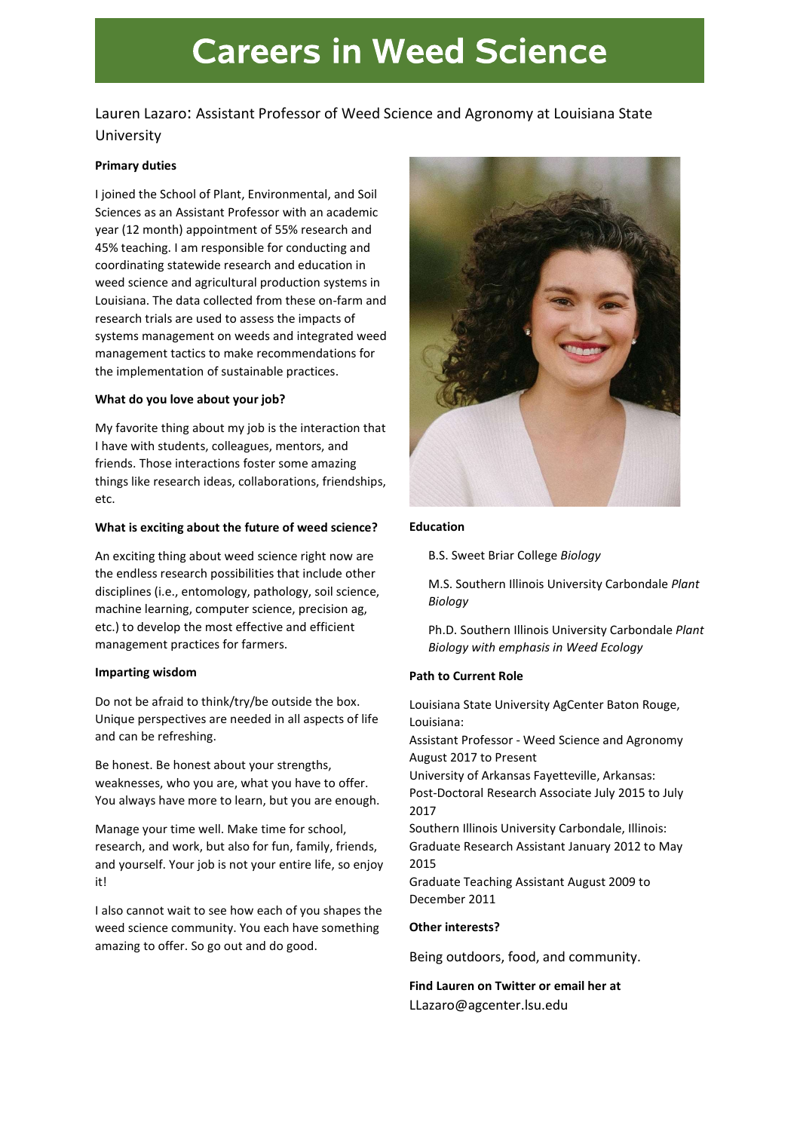# **Careers in Weed Science**

# Lauren Lazaro: Assistant Professor of Weed Science and Agronomy at Louisiana State University

# Primary duties

I joined the School of Plant, Environmental, and Soil Sciences as an Assistant Professor with an academic year (12 month) appointment of 55% research and 45% teaching. I am responsible for conducting and coordinating statewide research and education in weed science and agricultural production systems in Louisiana. The data collected from these on-farm and research trials are used to assess the impacts of systems management on weeds and integrated weed management tactics to make recommendations for the implementation of sustainable practices.

#### What do you love about your job?

My favorite thing about my job is the interaction that I have with students, colleagues, mentors, and friends. Those interactions foster some amazing things like research ideas, collaborations, friendships, etc.

#### What is exciting about the future of weed science?

An exciting thing about weed science right now are the endless research possibilities that include other disciplines (i.e., entomology, pathology, soil science, machine learning, computer science, precision ag, etc.) to develop the most effective and efficient management practices for farmers.

#### Imparting wisdom

Do not be afraid to think/try/be outside the box. Unique perspectives are needed in all aspects of life and can be refreshing.

Be honest. Be honest about your strengths, weaknesses, who you are, what you have to offer. You always have more to learn, but you are enough.

Manage your time well. Make time for school, research, and work, but also for fun, family, friends, and yourself. Your job is not your entire life, so enjoy it!

I also cannot wait to see how each of you shapes the weed science community. You each have something amazing to offer. So go out and do good.



#### Education

B.S. Sweet Briar College Biology

M.S. Southern Illinois University Carbondale Plant Biology

Ph.D. Southern Illinois University Carbondale Plant Biology with emphasis in Weed Ecology

# Path to Current Role

Louisiana State University AgCenter Baton Rouge, Louisiana:

Assistant Professor - Weed Science and Agronomy August 2017 to Present

University of Arkansas Fayetteville, Arkansas:

Post-Doctoral Research Associate July 2015 to July 2017

Southern Illinois University Carbondale, Illinois: Graduate Research Assistant January 2012 to May 2015

Graduate Teaching Assistant August 2009 to December 2011

# Other interests?

Being outdoors, food, and community.

Find Lauren on Twitter or email her at LLazaro@agcenter.lsu.edu